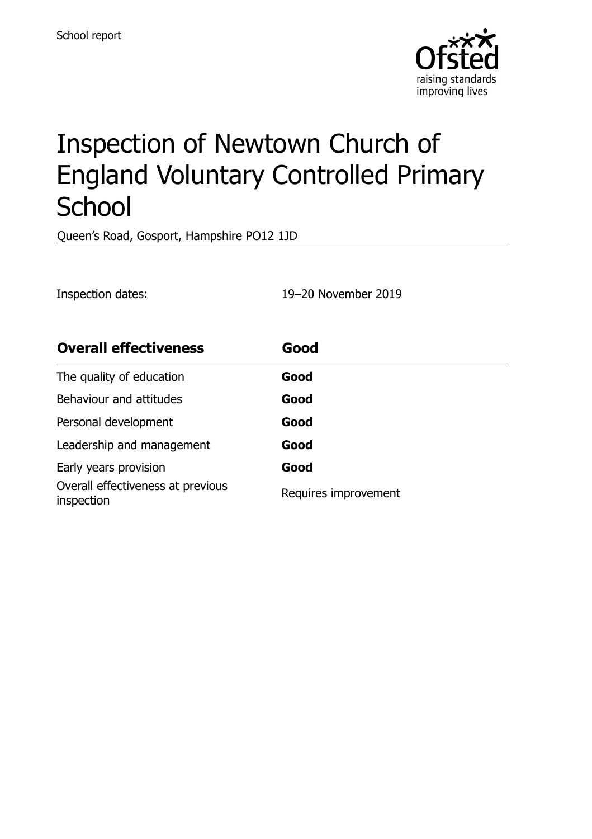

# Inspection of Newtown Church of England Voluntary Controlled Primary **School**

Queen's Road, Gosport, Hampshire PO12 1JD

Inspection dates: 19–20 November 2019

| <b>Overall effectiveness</b>                    | Good                 |  |
|-------------------------------------------------|----------------------|--|
| The quality of education                        | Good                 |  |
| Behaviour and attitudes                         | Good                 |  |
| Personal development                            | Good                 |  |
| Leadership and management                       | Good                 |  |
| Early years provision                           | Good                 |  |
| Overall effectiveness at previous<br>inspection | Requires improvement |  |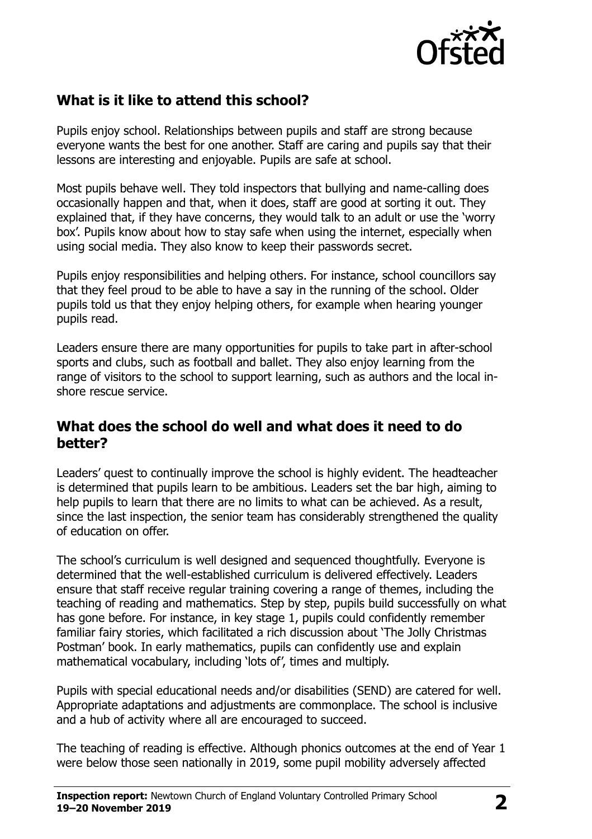

# **What is it like to attend this school?**

Pupils enjoy school. Relationships between pupils and staff are strong because everyone wants the best for one another. Staff are caring and pupils say that their lessons are interesting and enjoyable. Pupils are safe at school.

Most pupils behave well. They told inspectors that bullying and name-calling does occasionally happen and that, when it does, staff are good at sorting it out. They explained that, if they have concerns, they would talk to an adult or use the 'worry box'. Pupils know about how to stay safe when using the internet, especially when using social media. They also know to keep their passwords secret.

Pupils enjoy responsibilities and helping others. For instance, school councillors say that they feel proud to be able to have a say in the running of the school. Older pupils told us that they enjoy helping others, for example when hearing younger pupils read.

Leaders ensure there are many opportunities for pupils to take part in after-school sports and clubs, such as football and ballet. They also enjoy learning from the range of visitors to the school to support learning, such as authors and the local inshore rescue service.

## **What does the school do well and what does it need to do better?**

Leaders' quest to continually improve the school is highly evident. The headteacher is determined that pupils learn to be ambitious. Leaders set the bar high, aiming to help pupils to learn that there are no limits to what can be achieved. As a result, since the last inspection, the senior team has considerably strengthened the quality of education on offer.

The school's curriculum is well designed and sequenced thoughtfully. Everyone is determined that the well-established curriculum is delivered effectively. Leaders ensure that staff receive regular training covering a range of themes, including the teaching of reading and mathematics. Step by step, pupils build successfully on what has gone before. For instance, in key stage 1, pupils could confidently remember familiar fairy stories, which facilitated a rich discussion about 'The Jolly Christmas Postman' book. In early mathematics, pupils can confidently use and explain mathematical vocabulary, including 'lots of', times and multiply.

Pupils with special educational needs and/or disabilities (SEND) are catered for well. Appropriate adaptations and adjustments are commonplace. The school is inclusive and a hub of activity where all are encouraged to succeed.

The teaching of reading is effective. Although phonics outcomes at the end of Year 1 were below those seen nationally in 2019, some pupil mobility adversely affected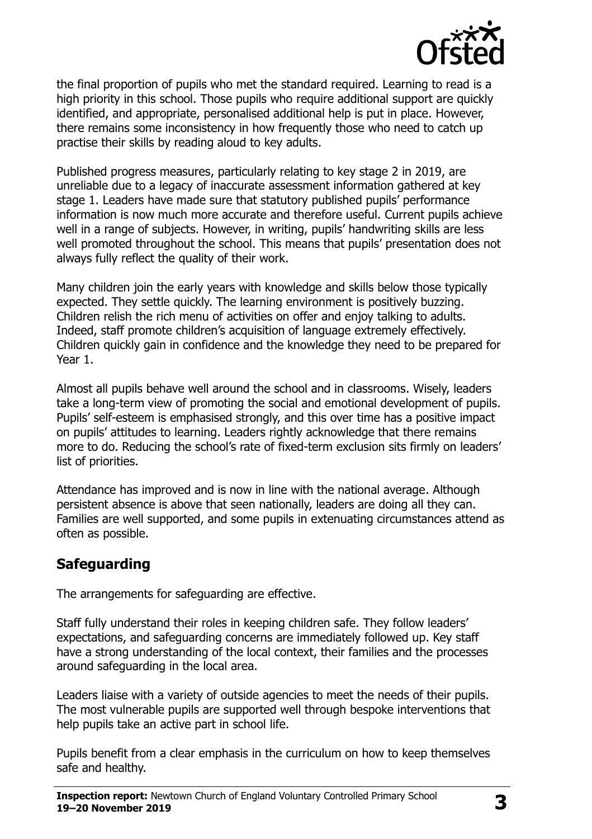

the final proportion of pupils who met the standard required. Learning to read is a high priority in this school. Those pupils who require additional support are quickly identified, and appropriate, personalised additional help is put in place. However, there remains some inconsistency in how frequently those who need to catch up practise their skills by reading aloud to key adults.

Published progress measures, particularly relating to key stage 2 in 2019, are unreliable due to a legacy of inaccurate assessment information gathered at key stage 1. Leaders have made sure that statutory published pupils' performance information is now much more accurate and therefore useful. Current pupils achieve well in a range of subjects. However, in writing, pupils' handwriting skills are less well promoted throughout the school. This means that pupils' presentation does not always fully reflect the quality of their work.

Many children join the early years with knowledge and skills below those typically expected. They settle quickly. The learning environment is positively buzzing. Children relish the rich menu of activities on offer and enjoy talking to adults. Indeed, staff promote children's acquisition of language extremely effectively. Children quickly gain in confidence and the knowledge they need to be prepared for Year 1.

Almost all pupils behave well around the school and in classrooms. Wisely, leaders take a long-term view of promoting the social and emotional development of pupils. Pupils' self-esteem is emphasised strongly, and this over time has a positive impact on pupils' attitudes to learning. Leaders rightly acknowledge that there remains more to do. Reducing the school's rate of fixed-term exclusion sits firmly on leaders' list of priorities.

Attendance has improved and is now in line with the national average. Although persistent absence is above that seen nationally, leaders are doing all they can. Families are well supported, and some pupils in extenuating circumstances attend as often as possible.

# **Safeguarding**

The arrangements for safeguarding are effective.

Staff fully understand their roles in keeping children safe. They follow leaders' expectations, and safeguarding concerns are immediately followed up. Key staff have a strong understanding of the local context, their families and the processes around safeguarding in the local area.

Leaders liaise with a variety of outside agencies to meet the needs of their pupils. The most vulnerable pupils are supported well through bespoke interventions that help pupils take an active part in school life.

Pupils benefit from a clear emphasis in the curriculum on how to keep themselves safe and healthy.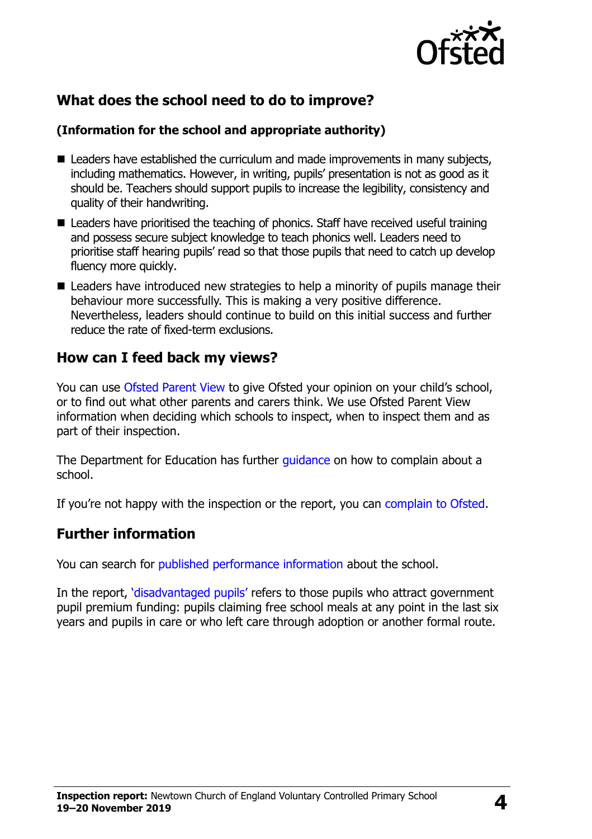

## **What does the school need to do to improve?**

#### **(Information for the school and appropriate authority)**

- Leaders have established the curriculum and made improvements in many subjects, including mathematics. However, in writing, pupils' presentation is not as good as it should be. Teachers should support pupils to increase the legibility, consistency and quality of their handwriting.
- Leaders have prioritised the teaching of phonics. Staff have received useful training and possess secure subject knowledge to teach phonics well. Leaders need to prioritise staff hearing pupils' read so that those pupils that need to catch up develop fluency more quickly.
- Leaders have introduced new strategies to help a minority of pupils manage their behaviour more successfully. This is making a very positive difference. Nevertheless, leaders should continue to build on this initial success and further reduce the rate of fixed-term exclusions.

## **How can I feed back my views?**

You can use [Ofsted Parent View](http://parentview.ofsted.gov.uk/) to give Ofsted your opinion on your child's school, or to find out what other parents and carers think. We use Ofsted Parent View information when deciding which schools to inspect, when to inspect them and as part of their inspection.

The Department for Education has further quidance on how to complain about a school.

If you're not happy with the inspection or the report, you can [complain to Ofsted.](http://www.gov.uk/complain-ofsted-report)

#### **Further information**

You can search for [published performance information](http://www.compare-school-performance.service.gov.uk/) about the school.

In the report, '[disadvantaged pupils](http://www.gov.uk/guidance/pupil-premium-information-for-schools-and-alternative-provision-settings)' refers to those pupils who attract government pupil premium funding: pupils claiming free school meals at any point in the last six years and pupils in care or who left care through adoption or another formal route.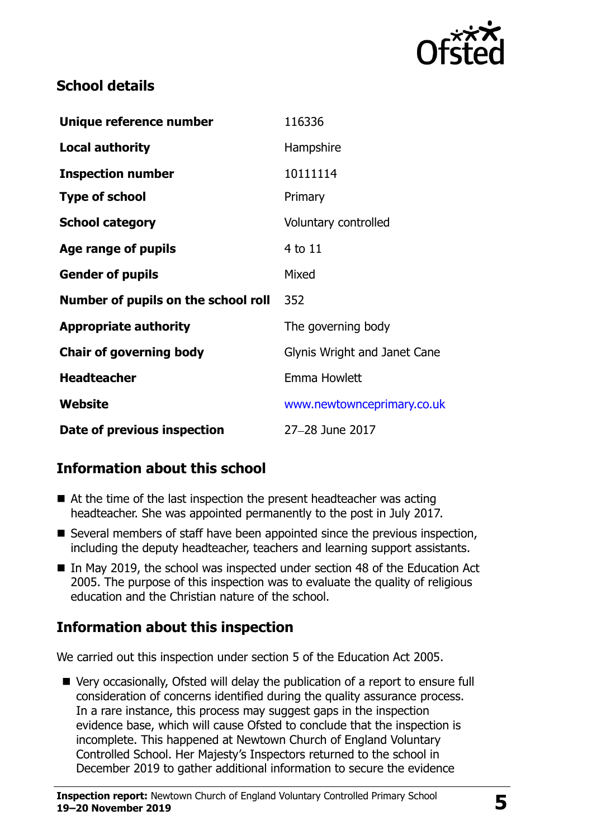

## **School details**

| Unique reference number             | 116336                       |
|-------------------------------------|------------------------------|
| <b>Local authority</b>              | Hampshire                    |
| <b>Inspection number</b>            | 10111114                     |
| <b>Type of school</b>               | Primary                      |
| <b>School category</b>              | Voluntary controlled         |
| Age range of pupils                 | 4 to 11                      |
| <b>Gender of pupils</b>             | Mixed                        |
| Number of pupils on the school roll | 352                          |
| <b>Appropriate authority</b>        | The governing body           |
| <b>Chair of governing body</b>      | Glynis Wright and Janet Cane |
| <b>Headteacher</b>                  | Emma Howlett                 |
| Website                             | www.newtownceprimary.co.uk   |
| Date of previous inspection         | 27-28 June 2017              |

# **Information about this school**

- $\blacksquare$  At the time of the last inspection the present headteacher was acting headteacher. She was appointed permanently to the post in July 2017.
- Several members of staff have been appointed since the previous inspection, including the deputy headteacher, teachers and learning support assistants.
- In May 2019, the school was inspected under section 48 of the Education Act 2005. The purpose of this inspection was to evaluate the quality of religious education and the Christian nature of the school.

# **Information about this inspection**

We carried out this inspection under section 5 of the Education Act 2005.

 Very occasionally, Ofsted will delay the publication of a report to ensure full consideration of concerns identified during the quality assurance process. In a rare instance, this process may suggest gaps in the inspection evidence base, which will cause Ofsted to conclude that the inspection is incomplete. This happened at Newtown Church of England Voluntary Controlled School. Her Majesty's Inspectors returned to the school in December 2019 to gather additional information to secure the evidence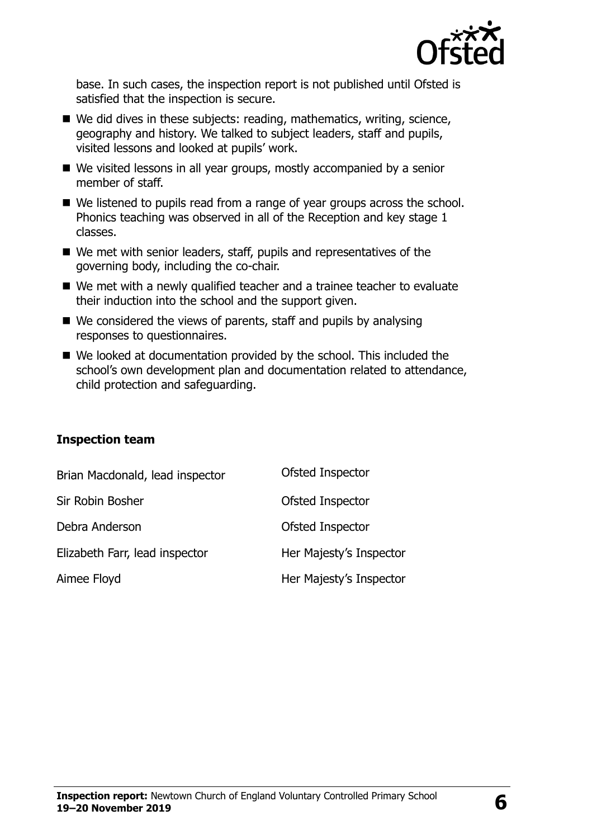

base. In such cases, the inspection report is not published until Ofsted is satisfied that the inspection is secure.

- We did dives in these subjects: reading, mathematics, writing, science, geography and history. We talked to subject leaders, staff and pupils, visited lessons and looked at pupils' work.
- We visited lessons in all year groups, mostly accompanied by a senior member of staff.
- We listened to pupils read from a range of year groups across the school. Phonics teaching was observed in all of the Reception and key stage 1 classes.
- We met with senior leaders, staff, pupils and representatives of the governing body, including the co-chair.
- We met with a newly qualified teacher and a trainee teacher to evaluate their induction into the school and the support given.
- We considered the views of parents, staff and pupils by analysing responses to questionnaires.
- We looked at documentation provided by the school. This included the school's own development plan and documentation related to attendance, child protection and safeguarding.

#### **Inspection team**

| Brian Macdonald, lead inspector | Ofsted Inspector        |
|---------------------------------|-------------------------|
| Sir Robin Bosher                | Ofsted Inspector        |
| Debra Anderson                  | Ofsted Inspector        |
| Elizabeth Farr, lead inspector  | Her Majesty's Inspector |
| Aimee Floyd                     | Her Majesty's Inspector |